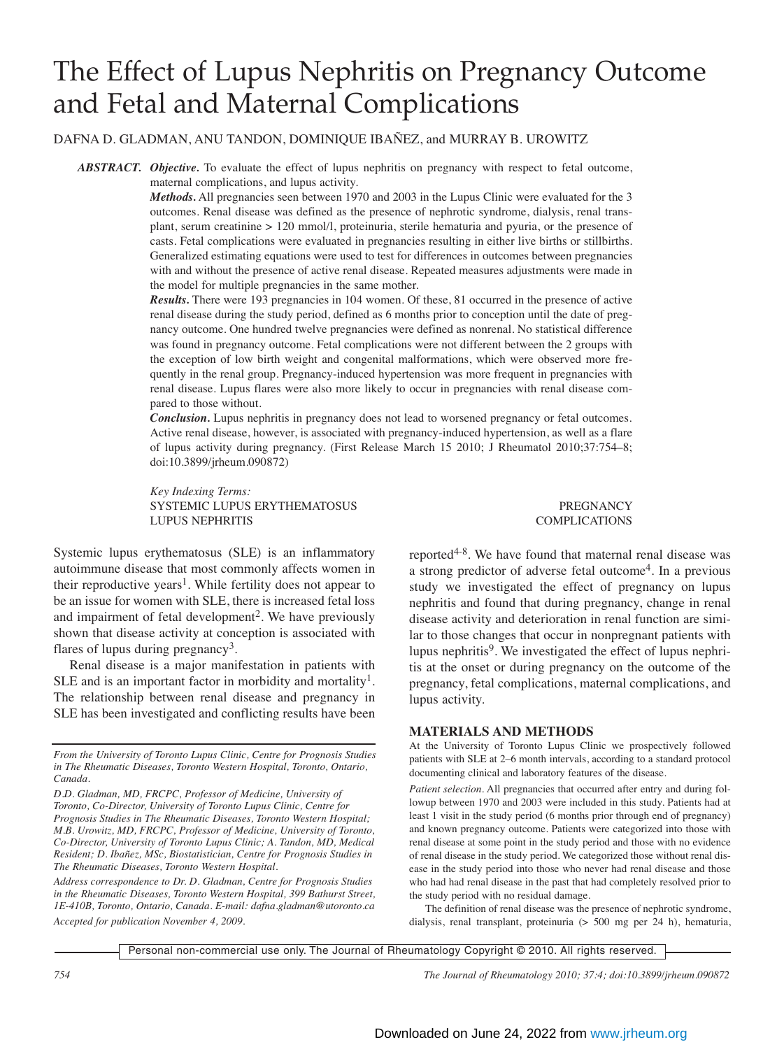# The Effect of Lupus Nephritis on Pregnancy Outcome and Fetal and Maternal Complications

DAFNA D. GLADMAN, ANU TANDON, DOMINIQUE IBAÑEZ, and MURRAY B. UROWITZ

*ABSTRACT. Objective.* To evaluate the effect of lupus nephritis on pregnancy with respect to fetal outcome, maternal complications, and lupus activity.

> *Methods*. All pregnancies seen between 1970 and 2003 in the Lupus Clinic were evaluated for the 3 outcomes. Renal disease was defined as the presence of nephrotic syndrome, dialysis, renal transplant, serum creatinine > 120 mmol/l, proteinuria, sterile hematuria and pyuria, or the presence of casts. Fetal complications were evaluated in pregnancies resulting in either live births or stillbirths. Generalized estimating equations were used to test for differences in outcomes between pregnancies with and without the presence of active renal disease. Repeated measures adjustments were made in the model for multiple pregnancies in the same mother.

> *Results.* There were 193 pregnancies in 104 women. Of these, 81 occurred in the presence of active renal disease during the study period, defined as 6 months prior to conception until the date of pregnancy outcome. One hundred twelve pregnancies were defined as nonrenal. No statistical difference was found in pregnancy outcome. Fetal complications were not different between the 2 groups with the exception of low birth weight and congenital malformations, which were observed more frequently in the renal group. Pregnancy-induced hypertension was more frequent in pregnancies with renal disease. Lupus flares were also more likely to occur in pregnancies with renal disease compared to those without.

> *Conclusion.* Lupus nephritis in pregnancy does not lead to worsened pregnancy or fetal outcomes. Active renal disease, however, is associated with pregnancy-induced hypertension, as well as a flare of lupus activity during pregnancy. (First Release March 15 2010; J Rheumatol 2010;37:754–8; doi:10.3899/jrheum.090872)

> *Key Indexing Terms:* SYSTEMIC LUPUS ERYTHEMATOSUS **PREGNANCY** LUPUS NEPHRITIS COMPLICATIONS

Systemic lupus erythematosus (SLE) is an inflammatory autoimmune disease that most commonly affects women in their reproductive years<sup>1</sup>. While fertility does not appear to be an issue for women with SLE, there is increased fetal loss and impairment of fetal development<sup>2</sup>. We have previously shown that disease activity at conception is associated with flares of lupus during pregnancy<sup>3</sup>.

Renal disease is a major manifestation in patients with SLE and is an important factor in morbidity and mortality<sup>1</sup>. The relationship between renal disease and pregnancy in SLE has been investigated and conflicting results have been

*From the University of Toronto Lupus Clinic, Centre for Prognosis Studies in The Rheumatic Diseases, Toronto Western Hospital, Toronto, Ontario, Canada.*

*D.D. Gladman, MD, FRCPC, Professor of Medicine, University of Toronto, Co-Director, University of Toronto Lupus Clinic, Centre for Prognosis Studies in The Rheumatic Diseases, Toronto Western Hospital; M.B. Urowitz, MD, FRCPC, Professor of Medicine, University of Toronto, Co-Director, University of Toronto Lupus Clinic; A. Tandon, MD, Medical Resident; D. Ibañez, MSc, Biostatistician, Centre for Prognosis Studies in The Rheumatic Diseases, Toronto Western Hospital.*

*Address correspondence to Dr. D. Gladman, Centre for Prognosis Studies in the Rheumatic Diseases, Toronto Western Hospital, 399 Bathurst Street, 1E-410B, Toronto, Ontario, Canada. E-mail: dafna.gladman@utoronto.ca Accepted for publication November 4, 2009.*

reported $4-8$ . We have found that maternal renal disease was a strong predictor of adverse fetal outcome<sup>4</sup>. In a previous study we investigated the effect of pregnancy on lupus nephritis and found that during pregnancy, change in renal disease activity and deterioration in renal function are similar to those changes that occur in nonpregnant patients with lupus nephritis<sup>9</sup>. We investigated the effect of lupus nephritis at the onset or during pregnancy on the outcome of the pregnancy, fetal complications, maternal complications, and lupus activity.

#### **MATERIALS AND METHODS**

At the University of Toronto Lupus Clinic we prospectively followed patients with SLE at 2–6 month intervals, according to a standard protocol documenting clinical and laboratory features of the disease.

*Patient selection.* All pregnancies that occurred after entry and during followup between 1970 and 2003 were included in this study. Patients had at least 1 visit in the study period (6 months prior through end of pregnancy) and known pregnancy outcome. Patients were categorized into those with renal disease at some point in the study period and those with no evidence of renal disease in the study period. We categorized those without renal disease in the study period into those who never had renal disease and those who had had renal disease in the past that had completely resolved prior to the study period with no residual damage.

The definition of renal disease was the presence of nephrotic syndrome, dialysis, renal transplant, proteinuria (> 500 mg per 24 h), hematuria,

Personal non-commercial use only. The Journal of Rheumatology Copyright © 2010. All rights reserved.

*754 The Journal of Rheumatology 2010; 37:4; doi:10.3899/jrheum.090872*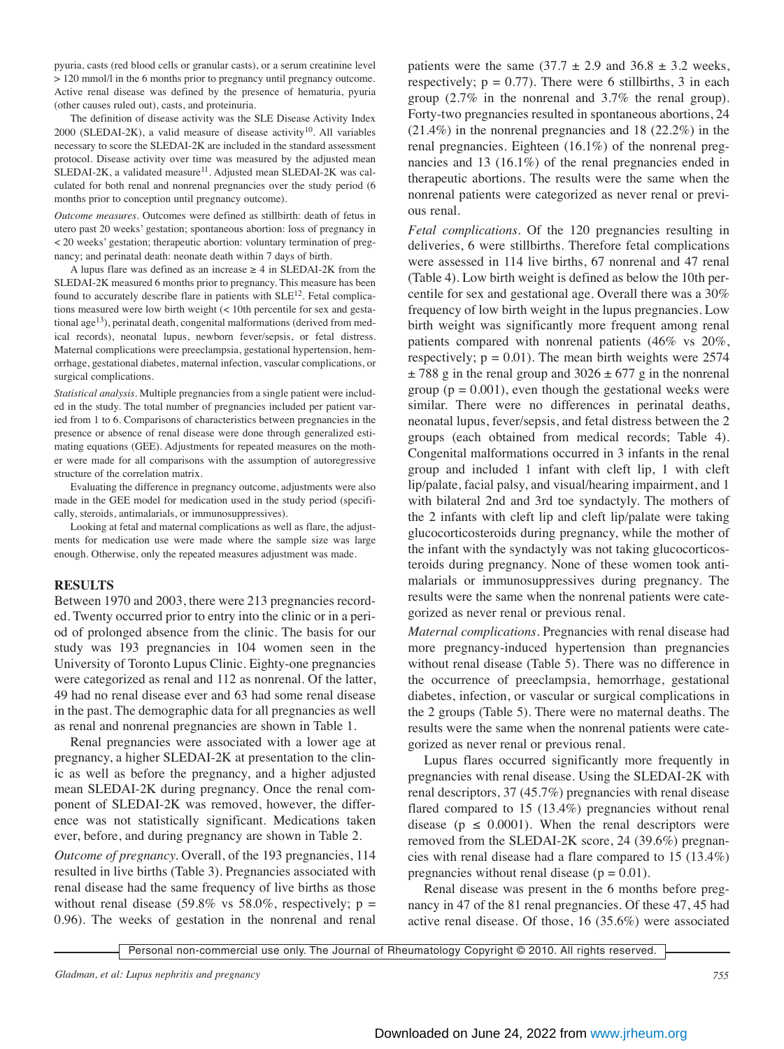pyuria, casts (red blood cells or granular casts), or a serum creatinine level > 120 mmol/l in the 6 months prior to pregnancy until pregnancy outcome. Active renal disease was defined by the presence of hematuria, pyuria (other causes ruled out), casts, and proteinuria.

The definition of disease activity was the SLE Disease Activity Index  $2000$  (SLEDAI-2K), a valid measure of disease activity<sup>10</sup>. All variables necessary to score the SLEDAI-2K are included in the standard assessment protocol. Disease activity over time was measured by the adjusted mean  $SLEDAI-2K$ , a validated measure<sup>11</sup>. Adjusted mean SLEDAI-2K was calculated for both renal and nonrenal pregnancies over the study period (6 months prior to conception until pregnancy outcome).

*Outcome measures.* Outcomes were defined as stillbirth: death of fetus in utero past 20 weeks' gestation; spontaneous abortion: loss of pregnancy in < 20 weeks' gestation; therapeutic abortion: voluntary termination of pregnancy; and perinatal death: neonate death within 7 days of birth.

A lupus flare was defined as an increase  $\geq 4$  in SLEDAI-2K from the SLEDAI-2K measured 6 months prior to pregnancy. This measure has been found to accurately describe flare in patients with  $SLE<sup>12</sup>$ . Fetal complications measured were low birth weight (< 10th percentile for sex and gestational age<sup>13</sup>), perinatal death, congenital malformations (derived from medical records), neonatal lupus, newborn fever/sepsis, or fetal distress. Maternal complications were preeclampsia, gestational hypertension, hemorrhage, gestational diabetes, maternal infection, vascular complications, or surgical complications.

*Statistical analysis.* Multiple pregnancies from a single patient were included in the study. The total number of pregnancies included per patient varied from 1 to 6. Comparisons of characteristics between pregnancies in the presence or absence of renal disease were done through generalized estimating equations (GEE). Adjustments for repeated measures on the mother were made for all comparisons with the assumption of autoregressive structure of the correlation matrix.

Evaluating the difference in pregnancy outcome, adjustments were also made in the GEE model for medication used in the study period (specifically, steroids, antimalarials, or immunosuppressives).

Looking at fetal and maternal complications as well as flare, the adjustments for medication use were made where the sample size was large enough. Otherwise, only the repeated measures adjustment was made.

#### **RESULTS**

Between 1970 and 2003, there were 213 pregnancies recorded. Twenty occurred prior to entry into the clinic or in a period of prolonged absence from the clinic. The basis for our study was 193 pregnancies in 104 women seen in the University of Toronto Lupus Clinic. Eighty-one pregnancies were categorized as renal and 112 as nonrenal. Of the latter, 49 had no renal disease ever and 63 had some renal disease in the past. The demographic data for all pregnancies as well as renal and nonrenal pregnancies are shown in Table 1.

Renal pregnancies were associated with a lower age at pregnancy, a higher SLEDAI-2K at presentation to the clinic as well as before the pregnancy, and a higher adjusted mean SLEDAI-2K during pregnancy. Once the renal component of SLEDAI-2K was removed, however, the difference was not statistically significant. Medications taken ever, before, and during pregnancy are shown in Table 2.

*Outcome of pregnancy.* Overall, of the 193 pregnancies, 114 resulted in live births (Table 3). Pregnancies associated with renal disease had the same frequency of live births as those without renal disease (59.8% vs 58.0%, respectively;  $p =$ 0.96). The weeks of gestation in the nonrenal and renal

patients were the same  $(37.7 \pm 2.9 \text{ and } 36.8 \pm 3.2 \text{ weeks},$ respectively;  $p = 0.77$ ). There were 6 stillbirths, 3 in each group (2.7% in the nonrenal and 3.7% the renal group). Forty-two pregnancies resulted in spontaneous abortions, 24 (21.4%) in the nonrenal pregnancies and 18 (22.2%) in the renal pregnancies. Eighteen (16.1%) of the nonrenal pregnancies and 13 (16.1%) of the renal pregnancies ended in therapeutic abortions. The results were the same when the nonrenal patients were categorized as never renal or previous renal.

*Fetal complications.* Of the 120 pregnancies resulting in deliveries, 6 were stillbirths. Therefore fetal complications were assessed in 114 live births, 67 nonrenal and 47 renal (Table 4). Low birth weight is defined as below the 10th percentile for sex and gestational age. Overall there was a 30% frequency of low birth weight in the lupus pregnancies. Low birth weight was significantly more frequent among renal patients compared with nonrenal patients (46% vs 20%, respectively;  $p = 0.01$ ). The mean birth weights were 2574  $\pm$  788 g in the renal group and 3026  $\pm$  677 g in the nonrenal group ( $p = 0.001$ ), even though the gestational weeks were similar. There were no differences in perinatal deaths, neonatal lupus, fever/sepsis, and fetal distress between the 2 groups (each obtained from medical records; Table 4). Congenital malformations occurred in 3 infants in the renal group and included 1 infant with cleft lip, 1 with cleft lip/palate, facial palsy, and visual/hearing impairment, and 1 with bilateral 2nd and 3rd toe syndactyly. The mothers of the 2 infants with cleft lip and cleft lip/palate were taking glucocorticosteroids during pregnancy, while the mother of the infant with the syndactyly was not taking glucocorticosteroids during pregnancy. None of these women took antimalarials or immunosuppressives during pregnancy. The results were the same when the nonrenal patients were categorized as never renal or previous renal.

*Maternal complications.* Pregnancies with renal disease had more pregnancy-induced hypertension than pregnancies without renal disease (Table 5). There was no difference in the occurrence of preeclampsia, hemorrhage, gestational diabetes, infection, or vascular or surgical complications in the 2 groups (Table 5). There were no maternal deaths. The results were the same when the nonrenal patients were categorized as never renal or previous renal.

Lupus flares occurred significantly more frequently in pregnancies with renal disease. Using the SLEDAI-2K with renal descriptors, 37 (45.7%) pregnancies with renal disease flared compared to 15 (13.4%) pregnancies without renal disease ( $p \leq 0.0001$ ). When the renal descriptors were removed from the SLEDAI-2K score, 24 (39.6%) pregnancies with renal disease had a flare compared to 15 (13.4%) pregnancies without renal disease  $(p = 0.01)$ .

Renal disease was present in the 6 months before pregnancy in 47 of the 81 renal pregnancies. Of these 47, 45 had active renal disease. Of those, 16 (35.6%) were associated

Personal non-commercial use only. The Journal of Rheumatology Copyright © 2010. All rights reserved.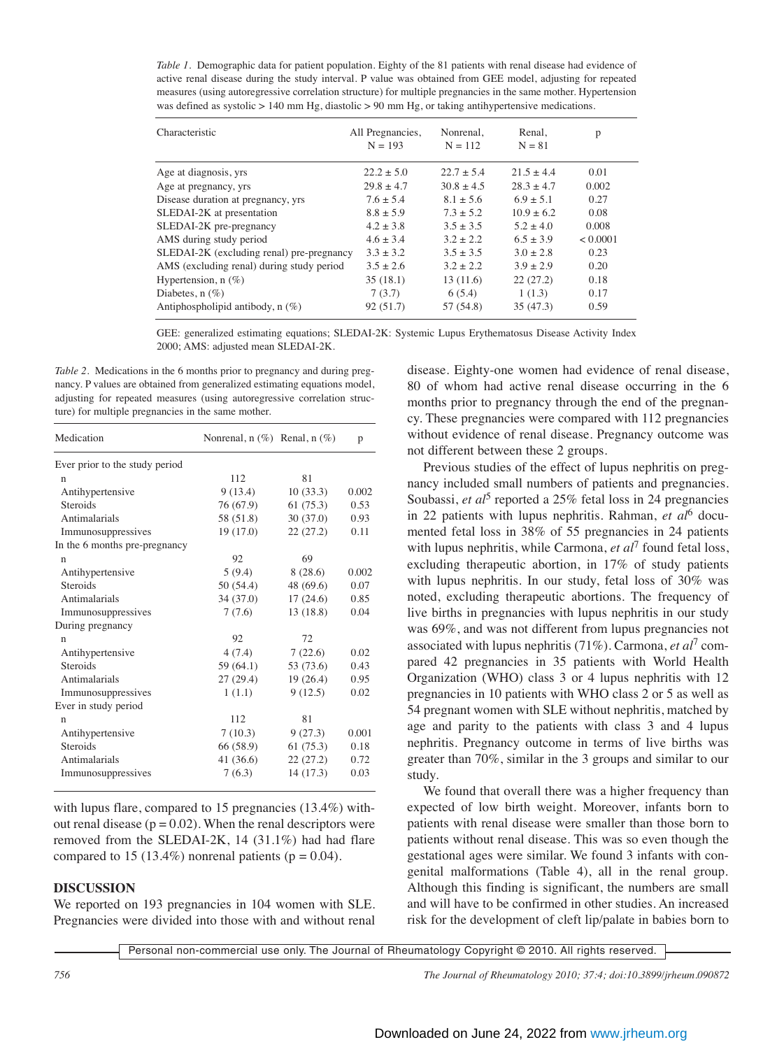*Table 1.* Demographic data for patient population. Eighty of the 81 patients with renal disease had evidence of active renal disease during the study interval. P value was obtained from GEE model, adjusting for repeated measures (using autoregressive correlation structure) for multiple pregnancies in the same mother. Hypertension was defined as systolic > 140 mm Hg, diastolic > 90 mm Hg, or taking antihypertensive medications.

| Characteristic                            | All Pregnancies,<br>$N = 193$ | Nonrenal,<br>$N = 112$ | Renal,<br>$N = 81$ | р        |
|-------------------------------------------|-------------------------------|------------------------|--------------------|----------|
| Age at diagnosis, yrs                     | $22.2 \pm 5.0$                | $22.7 \pm 5.4$         | $21.5 + 4.4$       | 0.01     |
| Age at pregnancy, yrs                     | $29.8 \pm 4.7$                | $30.8 \pm 4.5$         | $28.3 \pm 4.7$     | 0.002    |
| Disease duration at pregnancy, yrs        | $7.6 \pm 5.4$                 | $8.1 \pm 5.6$          | $6.9 \pm 5.1$      | 0.27     |
| SLEDAI-2K at presentation                 | $8.8 \pm 5.9$                 | $7.3 \pm 5.2$          | $10.9 \pm 6.2$     | 0.08     |
| SLEDAI-2K pre-pregnancy                   | $4.2 \pm 3.8$                 | $3.5 \pm 3.5$          | $5.2 \pm 4.0$      | 0.008    |
| AMS during study period                   | $4.6 \pm 3.4$                 | $3.2 \pm 2.2$          | $6.5 \pm 3.9$      | < 0.0001 |
| SLEDAI-2K (excluding renal) pre-pregnancy | $3.3 \pm 3.2$                 | $3.5 \pm 3.5$          | $3.0 \pm 2.8$      | 0.23     |
| AMS (excluding renal) during study period | $3.5 \pm 2.6$                 | $3.2 \pm 2.2$          | $3.9 \pm 2.9$      | 0.20     |
| Hypertension, $n$ (%)                     | 35(18.1)                      | 13(11.6)               | 22(27.2)           | 0.18     |
| Diabetes, $n$ (%)                         | 7(3.7)                        | 6(5.4)                 | 1(1.3)             | 0.17     |
| Antiphospholipid antibody, $n$ (%)        | 92(51.7)                      | 57 (54.8)              | 35(47.3)           | 0.59     |

GEE: generalized estimating equations; SLEDAI-2K: Systemic Lupus Erythematosus Disease Activity Index 2000; AMS: adjusted mean SLEDAI-2K.

*Table 2.* Medications in the 6 months prior to pregnancy and during pregnancy. P values are obtained from generalized estimating equations model, adjusting for repeated measures (using autoregressive correlation structure) for multiple pregnancies in the same mother.

| Medication                     | Nonrenal, $n$ (%) Renal, $n$ (%) |           | p     |
|--------------------------------|----------------------------------|-----------|-------|
| Ever prior to the study period |                                  |           |       |
| n                              | 112                              | 81        |       |
| Antihypertensive               | 9(13.4)                          | 10(33.3)  | 0.002 |
| Steroids                       | 76 (67.9)                        | 61(75.3)  | 0.53  |
| Antimalarials                  | 58 (51.8)                        | 30(37.0)  | 0.93  |
| Immunosuppressives             | 19(17.0)                         | 22(27.2)  | 0.11  |
| In the 6 months pre-pregnancy  |                                  |           |       |
| n                              | 92                               | 69        |       |
| Antihypertensive               | 5(9.4)                           | 8(28.6)   | 0.002 |
| Steroids                       | 50 (54.4)                        | 48 (69.6) | 0.07  |
| Antimalarials                  | 34(37.0)                         | 17(24.6)  | 0.85  |
| Immunosuppressives             | 7(7.6)                           | 13 (18.8) | 0.04  |
| During pregnancy               |                                  |           |       |
| n                              | 92                               | 72        |       |
| Antihypertensive               | 4(7.4)                           | 7(22.6)   | 0.02  |
| Steroids                       | 59 (64.1)                        | 53 (73.6) | 0.43  |
| Antimalarials                  | 27(29.4)                         | 19(26.4)  | 0.95  |
| Immunosuppressives             | 1(1.1)                           | 9(12.5)   | 0.02  |
| Ever in study period           |                                  |           |       |
| n                              | 112                              | 81        |       |
| Antihypertensive               | 7(10.3)                          | 9(27.3)   | 0.001 |
| Steroids                       | 66 (58.9)                        | 61(75.3)  | 0.18  |
| Antimalarials                  | 41 (36.6)                        | 22(27.2)  | 0.72  |
| Immunosuppressives             | 7(6.3)                           | 14(17.3)  | 0.03  |

with lupus flare, compared to 15 pregnancies (13.4%) without renal disease ( $p = 0.02$ ). When the renal descriptors were removed from the SLEDAI-2K, 14 (31.1%) had had flare compared to 15 (13.4%) nonrenal patients ( $p = 0.04$ ).

## **DISCUSSION**

We reported on 193 pregnancies in 104 women with SLE. Pregnancies were divided into those with and without renal disease. Eighty-one women had evidence of renal disease, 80 of whom had active renal disease occurring in the 6 months prior to pregnancy through the end of the pregnancy. These pregnancies were compared with 112 pregnancies without evidence of renal disease. Pregnancy outcome was not different between these 2 groups.

Previous studies of the effect of lupus nephritis on pregnancy included small numbers of patients and pregnancies. Soubassi, *et al*<sup>5</sup> reported a 25% fetal loss in 24 pregnancies in 22 patients with lupus nephritis. Rahman, *et al*<sup>6</sup> documented fetal loss in 38% of 55 pregnancies in 24 patients with lupus nephritis, while Carmona, *et al*<sup>7</sup> found fetal loss, excluding therapeutic abortion, in 17% of study patients with lupus nephritis. In our study, fetal loss of 30% was noted, excluding therapeutic abortions. The frequency of live births in pregnancies with lupus nephritis in our study was 69%, and was not different from lupus pregnancies not associated with lupus nephritis (71%). Carmona, *et al*<sup>7</sup> compared 42 pregnancies in 35 patients with World Health Organization (WHO) class 3 or 4 lupus nephritis with 12 pregnancies in 10 patients with WHO class 2 or 5 as well as 54 pregnant women with SLE without nephritis, matched by age and parity to the patients with class 3 and 4 lupus nephritis. Pregnancy outcome in terms of live births was greater than 70%, similar in the 3 groups and similar to our study.

We found that overall there was a higher frequency than expected of low birth weight. Moreover, infants born to patients with renal disease were smaller than those born to patients without renal disease. This was so even though the gestational ages were similar. We found 3 infants with congenital malformations (Table 4), all in the renal group. Although this finding is significant, the numbers are small and will have to be confirmed in other studies. An increased risk for the development of cleft lip/palate in babies born to

Personal non-commercial use only. The Journal of Rheumatology Copyright © 2010. All rights reserved.

*756 The Journal of Rheumatology 2010; 37:4; doi:10.3899/jrheum.090872*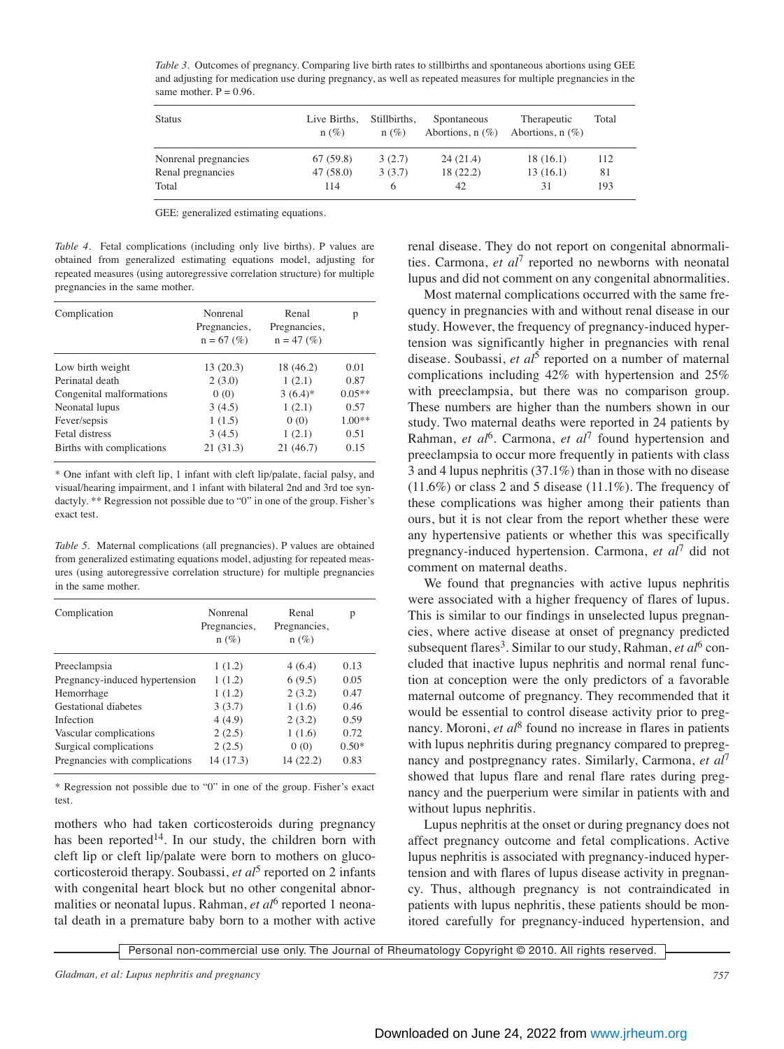| <b>Status</b>        | Live Births,<br>$n(\%)$ | Stillbirths.<br>n(%) | Spontaneous<br>Abortions, $n$ (%) | Therapeutic<br>Abortions, $n$ (%) | Total |
|----------------------|-------------------------|----------------------|-----------------------------------|-----------------------------------|-------|
| Nonrenal pregnancies | 67(59.8)                | 3(2.7)               | 24(21.4)                          | 18(16.1)                          | 112   |
| Renal pregnancies    | 47(58.0)                | 3(3.7)               | 18(22.2)                          | 13(16.1)                          | 81    |
| Total                | 114                     | 6                    | 42                                | 31                                | 193   |

*Table 3.* Outcomes of pregnancy. Comparing live birth rates to stillbirths and spontaneous abortions using GEE and adjusting for medication use during pregnancy, as well as repeated measures for multiple pregnancies in the same mother.  $P = 0.96$ .

GEE: generalized estimating equations.

*Table 4.* Fetal complications (including only live births). P values are obtained from generalized estimating equations model, adjusting for repeated measures (using autoregressive correlation structure) for multiple pregnancies in the same mother.

| Complication              | Nonrenal<br>Pregnancies,<br>$n = 67$ (%) | Renal<br>Pregnancies,<br>$n = 47$ (%) | р        |
|---------------------------|------------------------------------------|---------------------------------------|----------|
| Low birth weight          | 13(20.3)                                 | 18 (46.2)                             | 0.01     |
| Perinatal death           | 2(3.0)                                   | 1(2.1)                                | 0.87     |
| Congenital malformations  | 0(0)                                     | $3(6.4)$ *                            | $0.05**$ |
| Neonatal lupus            | 3(4.5)                                   | 1(2.1)                                | 0.57     |
| Fever/sepsis              | 1(1.5)                                   | 0(0)                                  | $1.00**$ |
| Fetal distress            | 3(4.5)                                   | 1(2.1)                                | 0.51     |
| Births with complications | 21(31.3)                                 | 21(46.7)                              | 0.15     |

\* One infant with cleft lip, 1 infant with cleft lip/palate, facial palsy, and visual/hearing impairment, and 1 infant with bilateral 2nd and 3rd toe syndactyly. \*\* Regression not possible due to "0" in one of the group. Fisher's exact test.

*Table 5.* Maternal complications (all pregnancies). P values are obtained from generalized estimating equations model, adjusting for repeated measures (using autoregressive correlation structure) for multiple pregnancies in the same mother.

| Complication                   | Nonrenal<br>Pregnancies,<br>$n(\%)$ | Renal<br>Pregnancies,<br>$n(\%)$ | р       |
|--------------------------------|-------------------------------------|----------------------------------|---------|
| Preeclampsia                   | 1(1.2)                              | 4(6.4)                           | 0.13    |
| Pregnancy-induced hypertension | 1(1.2)                              | 6(9.5)                           | 0.05    |
| Hemorrhage                     | 1(1.2)                              | 2(3.2)                           | 0.47    |
| Gestational diabetes           | 3(3.7)                              | 1(1.6)                           | 0.46    |
| Infection                      | 4(4.9)                              | 2(3.2)                           | 0.59    |
| Vascular complications         | 2(2.5)                              | 1(1.6)                           | 0.72    |
| Surgical complications         | 2(2.5)                              | 0(0)                             | $0.50*$ |
| Pregnancies with complications | 14 (17.3)                           | 14 (22.2)                        | 0.83    |

\* Regression not possible due to "0" in one of the group. Fisher's exact test.

mothers who had taken corticosteroids during pregnancy has been reported<sup>14</sup>. In our study, the children born with cleft lip or cleft lip/palate were born to mothers on glucocorticosteroid therapy. Soubassi, *et al*<sup>5</sup> reported on 2 infants with congenital heart block but no other congenital abnormalities or neonatal lupus. Rahman, *et al*<sup>6</sup> reported 1 neonatal death in a premature baby born to a mother with active renal disease. They do not report on congenital abnormalities. Carmona, *et al*<sup>7</sup> reported no newborns with neonatal lupus and did not comment on any congenital abnormalities.

Most maternal complications occurred with the same frequency in pregnancies with and without renal disease in our study. However, the frequency of pregnancy-induced hypertension was significantly higher in pregnancies with renal disease. Soubassi, *et al*<sup>5</sup> reported on a number of maternal complications including 42% with hypertension and 25% with preeclampsia, but there was no comparison group. These numbers are higher than the numbers shown in our study. Two maternal deaths were reported in 24 patients by Rahman, *et al*<sup>6</sup>. Carmona, *et al*<sup>7</sup> found hypertension and preeclampsia to occur more frequently in patients with class 3 and 4 lupus nephritis (37.1%) than in those with no disease  $(11.6\%)$  or class 2 and 5 disease  $(11.1\%)$ . The frequency of these complications was higher among their patients than ours, but it is not clear from the report whether these were any hypertensive patients or whether this was specifically pregnancy-induced hypertension. Carmona, *et al*<sup>7</sup> did not comment on maternal deaths.

We found that pregnancies with active lupus nephritis were associated with a higher frequency of flares of lupus. This is similar to our findings in unselected lupus pregnancies, where active disease at onset of pregnancy predicted subsequent flares<sup>3</sup>. Similar to our study, Rahman, *et al*<sup>6</sup> concluded that inactive lupus nephritis and normal renal function at conception were the only predictors of a favorable maternal outcome of pregnancy. They recommended that it would be essential to control disease activity prior to pregnancy. Moroni, *et al*<sup>8</sup> found no increase in flares in patients with lupus nephritis during pregnancy compared to prepregnancy and postpregnancy rates. Similarly, Carmona, *et al*<sup>7</sup> showed that lupus flare and renal flare rates during pregnancy and the puerperium were similar in patients with and without lupus nephritis.

Lupus nephritis at the onset or during pregnancy does not affect pregnancy outcome and fetal complications. Active lupus nephritis is associated with pregnancy-induced hypertension and with flares of lupus disease activity in pregnancy. Thus, although pregnancy is not contraindicated in patients with lupus nephritis, these patients should be monitored carefully for pregnancy-induced hypertension, and

Personal non-commercial use only. The Journal of Rheumatology Copyright © 2010. All rights reserved.